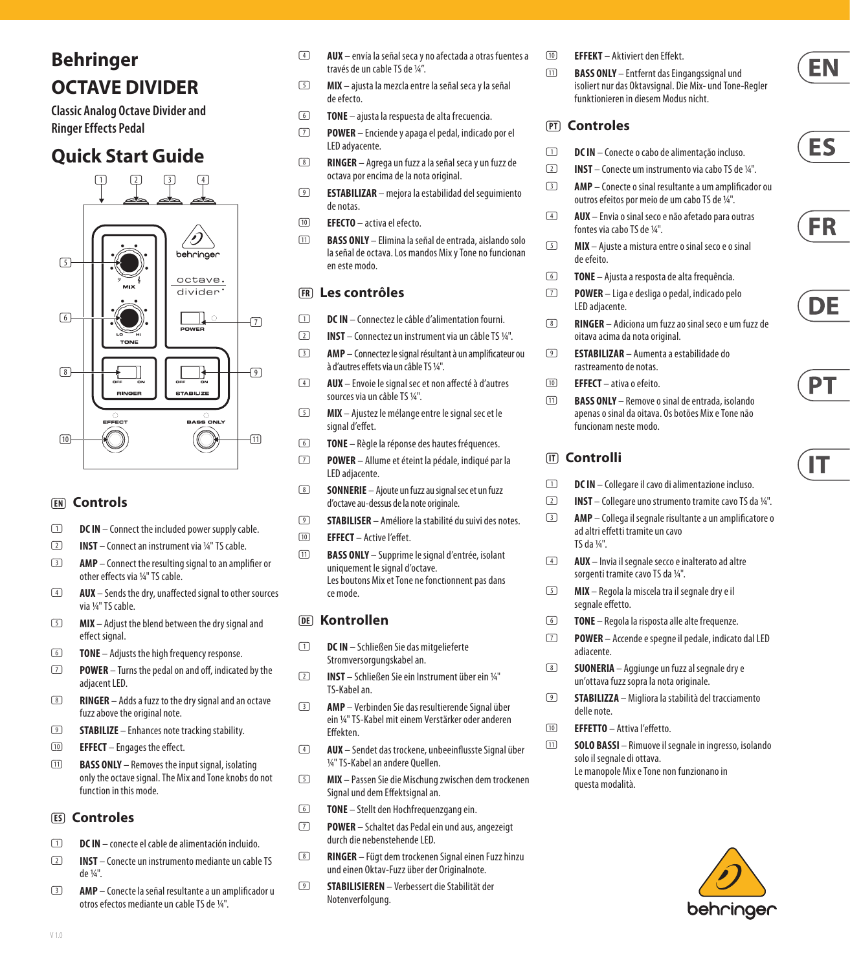# **Behringer OCTAVE DIVIDER**

**Classic Analog Octave Divider and Ringer Effects Pedal**

# **Quick Start Guide**



## **(EN) Controls**

- **ID DC IN** Connect the included power supply cable.
- (2) **INST** Connect an instrument via 1/4" TS cable.
- (3) **AMP** Connect the resulting signal to an amplifier or other effects via 1/4" TS cable.
- (4) **AUX** Sends the dry, unaffected signal to other sources via 1/4" TS cable.
- (5) **MIX** Adjust the blend between the dry signal and effect signal.
- (6) **TONE** Adjusts the high frequency response.
- (7) **POWER** Turns the pedal on and off, indicated by the adjacent LED.
- (8) **RINGER** Adds a fuzz to the dry signal and an octave fuzz above the original note.
- (9) **STABILIZE** Enhances note tracking stability.
- (10) **EFFECT** Engages the effect.
- (11) **BASS ONLY** Removes the input signal, isolating only the octave signal. The Mix and Tone knobs do not function in this mode.

#### **(ES) Controles**

- (1) **DC IN** conecte el cable de alimentación incluido.
- (2) **INST** Conecte un instrumento mediante un cable TS de 1/4".
- (3) **AMP**  Conecte la señal resultante a un amplificador u otros efectos mediante un cable TS de 1/4".
- (4) **AUX**  envía la señal seca y no afectada a otras fuentes a través de un cable TS de ¼".
- (5) **MIX**  ajusta la mezcla entre la señal seca y la señal de efecto.
- (6) **TONE** ajusta la respuesta de alta frecuencia.
- (7) **POWER** Enciende y apaga el pedal, indicado por el LED adyacente.
- (8) **RINGER**  Agrega un fuzz a la señal seca y un fuzz de octava por encima de la nota original.
- (9) **ESTABILIZAR** mejora la estabilidad del seguimiento de notas.
- (10) **EFECTO**  activa el efecto.
- (11) **BASS ONLY**  Elimina la señal de entrada, aislando solo la señal de octava. Los mandos Mix y Tone no funcionan en este modo.

#### **(FR) Les contrôles**

- (1) **DC IN** Connectez le câble d'alimentation fourni.
- (2) **INST** Connectez un instrument via un câble TS 1/4".
- (3) **AMP**  Connectez le signal résultant à un amplificateur ou à d'autres effets via un câble TS 1/4".
- (4) **AUX**  Envoie le signal sec et non affecté à d'autres sources via un câble TS ¼".
- (5) **MIX** Ajustez le mélange entre le signal sec et le signal d'effet.
- (6) **TONE** Règle la réponse des hautes fréquences.
- (7) **POWER** Allume et éteint la pédale, indiqué par la LED adjacente.
- (8) **SONNERIE** Ajoute un fuzz au signal sec et un fuzz d'octave au-dessus de la note originale.
- (9) **STABILISER** Améliore la stabilité du suivi des notes.
- (10) **EFFECT**  Active l'effet.
- (11) **BASS ONLY** Supprime le signal d'entrée, isolant uniquement le signal d'octave. Les boutons Mix et Tone ne fonctionnent pas dans ce mode.

#### **(DE) Kontrollen**

- (1) **DC IN** Schließen Sie das mitgelieferte Stromversorgungskabel an.
- (2) **INST** Schließen Sie ein Instrument über ein 1/4" TS-Kabel an.
- (3) **AMP**  Verbinden Sie das resultierende Signal über ein 1/4" TS-Kabel mit einem Verstärker oder anderen Effekten.
- (4) **AUX**  Sendet das trockene, unbeeinflusste Signal über ¼" TS-Kabel an andere Quellen.
- (5) **MIX**  Passen Sie die Mischung zwischen dem trockenen Signal und dem Effektsignal an.
- (6) **TONE** Stellt den Hochfrequenzgang ein.
- (7) **POWER** Schaltet das Pedal ein und aus, angezeigt durch die nebenstehende LED.
- (8) **RINGER**  Fügt dem trockenen Signal einen Fuzz hinzu und einen Oktav-Fuzz über der Originalnote.
- (9) **STABILISIEREN** Verbessert die Stabilität der Notenverfolgung.
- (10) **EFFEKT**  Aktiviert den Effekt.
- (11) **BASS ONLY** Entfernt das Eingangssignal und isoliert nur das Oktavsignal. Die Mix- und Tone-Regler funktionieren in diesem Modus nicht.

#### **(PT) Controles**

- (1) **DC IN**  Conecte o cabo de alimentação incluso.
- (2) **INST**  Conecte um instrumento via cabo TS de ¼".
- (3) **AMP**  Conecte o sinal resultante a um amplificador ou outros efeitos por meio de um cabo TS de ¼".
- (4) **AUX**  Envia o sinal seco e não afetado para outras fontes via cabo TS de ¼".
- (5) **MIX**  Ajuste a mistura entre o sinal seco e o sinal de efeito.
- (6) **TONE** Ajusta a resposta de alta frequência.
- (7) **POWER** Liga e desliga o pedal, indicado pelo LED adjacente.
- (8) **RINGER**  Adiciona um fuzz ao sinal seco e um fuzz de oitava acima da nota original.
- (9) **ESTABILIZAR** Aumenta a estabilidade do rastreamento de notas.
- (10) **EFFECT**  ativa o efeito.
- (11) **BASS ONLY** Remove o sinal de entrada, isolando apenas o sinal da oitava. Os botões Mix e Tone não funcionam neste modo.

# **(IT) Controlli**

- (1) **DC IN** Collegare il cavo di alimentazione incluso.
- (2) **INST** Collegare uno strumento tramite cavo TS da ¼".
- (3) **AMP**  Collega il segnale risultante a un amplificatore o ad altri effetti tramite un cavo TS da ¼".
- (4) **AUX** Invia il segnale secco e inalterato ad altre sorgenti tramite cavo TS da ¼".
- (5) **MIX**  Regola la miscela tra il segnale dry e il segnale effetto.
- (6) **TONE** Regola la risposta alle alte frequenze.
- (7) **POWER** Accende e spegne il pedale, indicato dal LED adiacente.
- (8) **SUONERIA** Aggiunge un fuzz al segnale dry e un'ottava fuzz sopra la nota originale.
- (9) **STABILIZZA** Migliora la stabilità del tracciamento delle note.
- (10) **EFFETTO** Attiva l'effetto.
- (11) **SOLO BASSI** Rimuove il segnale in ingresso, isolando solo il segnale di ottava. Le manopole Mix e Tone non funzionano in questa modalità.







IΤ



ES

**FR**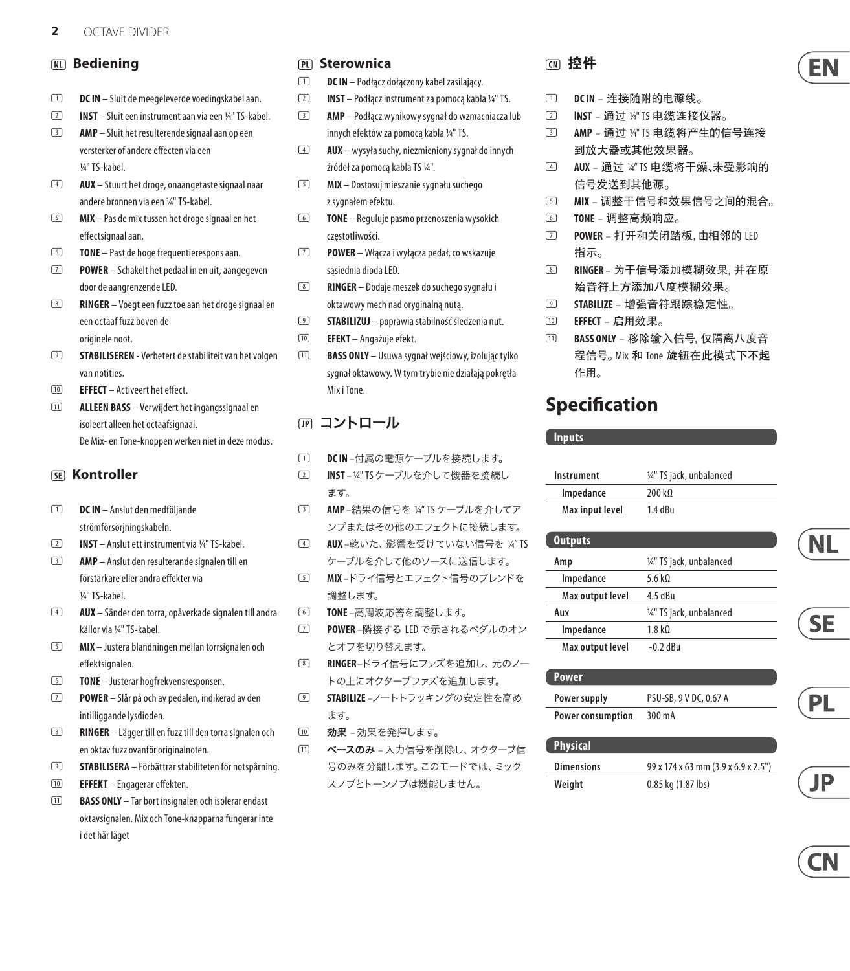#### **(NL) Bediening**

- (1) **DC IN**  Sluit de meegeleverde voedingskabel aan.
- (2) **INST** Sluit een instrument aan via een 1/4" TS-kabel. (3) **AMP** – Sluit het resulterende signaal aan op een
- versterker of andere effecten via een ¼" TS-kabel.
- (4) **AUX** Stuurt het droge, onaangetaste signaal naar andere bronnen via een ¼" TS-kabel.
- (5) **MIX** Pas de mix tussen het droge signaal en het effectsignaal aan.
- (6) **TONE** Past de hoge frequentierespons aan.
- (7) **POWER** Schakelt het pedaal in en uit, aangegeven door de aangrenzende LED.
- (8) **RINGER**  Voegt een fuzz toe aan het droge signaal en een octaaf fuzz boven de originele noot.
- (9) **STABILISEREN** Verbetert de stabiliteit van het volgen van notities.
- (10) **EFFECT** Activeert het effect.
- (11) **ALLEEN BASS** Verwijdert het ingangssignaal en isoleert alleen het octaafsignaal. De Mix- en Tone-knoppen werken niet in deze modus.

#### **(SE) Kontroller**

- (1) **DC IN**  Anslut den medföljande strömförsörjningskabeln.
- (2) **INST** Anslut ett instrument via ¼" TS-kabel.
- (3) **AMP** Anslut den resulterande signalen till en förstärkare eller andra effekter via ¼" TS-kabel.
- (4) **AUX** Sänder den torra, opåverkade signalen till andra källor via ¼" TS-kabel.
- (5) **MIX**  Justera blandningen mellan torrsignalen och effektsignalen.
- (6) **TONE**  Justerar högfrekvensresponsen.
- (7) **POWER** Slår på och av pedalen, indikerad av den intilliggande lysdioden.
- (8) **RINGER** Lägger till en fuzz till den torra signalen och en oktav fuzz ovanför originalnoten.
- (9) **STABILISERA** Förbättrar stabiliteten för notspårning.
- (10) **EFFEKT** Engagerar effekten.
- (11) **BASS ONLY** Tar bort insignalen och isolerar endast oktavsignalen. Mix och Tone-knapparna fungerar inte i det här läget

#### **(PL) Sterownica**

- (1) **DC IN** Podłącz dołączony kabel zasilający.
- (2) **INST**  Podłącz instrument za pomocą kabla ¼" TS.
- (3) **AMP** Podłącz wynikowy sygnał do wzmacniacza lub innych efektów za pomocą kabla ¼" TS.
- (4) **AUX** wysyła suchy, niezmieniony sygnał do innych źródeł za pomocą kabla TS ¼".
- (5) **MIX** Dostosuj mieszanie sygnału suchego z sygnałem efektu.
- (6) **TONE** Reguluje pasmo przenoszenia wysokich częstotliwości.
- (7) **POWER** Włącza i wyłącza pedał, co wskazuje sąsiednia dioda LED.
- (8) **RINGER** Dodaje meszek do suchego sygnału i oktawowy mech nad oryginalną nutą.
- (9) **STABILIZUJ** poprawia stabilność śledzenia nut.
- (10) **EFEKT**  Angażuje efekt.
- (11) **BASS ONLY**  Usuwa sygnał wejściowy, izolując tylko sygnał oktawowy. W tym trybie nie działają pokrętła Mix i Tone.

# **(JP)** コントロール

- (1) **DC IN** –付属の電源ケーブルを接続します。
- (2) **INST**  ¼" TSケーブルを介して機器を接続し ます。
- (3) **AMP** –結果の信号を ¼" TS ケーブルを介してア ンプまたはその他のエフェクトに接続します。
- (4) **AUX** –乾いた、影響を受けていない信号を ¼" TS ケーブルを介して他のソースに送信します。
- (5) **MIX** –ドライ信号とエフェクト信号のブレンドを 調整します。
- (6) **TONE** –高周波応答を調整します。
- (7) **POWER** –隣接する LED で示されるペダルのオン とオフを切り替えます。
- (8) **RINGER** –ドライ信号にファズを追加し、元のノー トの上にオクターブファズを追加します。
- (9) **STABILIZE** –ノートトラッキングの安定性を高め ます。
- (10) 効果 効果を発揮します。
- (11) ベースのみ 入力信号を削除し、オクターブ信 号のみを分離します。このモードでは、ミック スノブとトーンノブは機能しません。

# **(CN) 控件**

- (1) **DC IN** 连接随附的电源线。
- (2) I**NST** 通过 ¼" TS 电缆连接仪器。
- (3) **AMP** 通过 ¼" TS 电缆将产生的信号连接 到放大器或其他效果器。
- (4) **AUX** 通过 ¼" TS 电缆将干燥、未受影响的 信号发送到其他源。
- (5) **MIX** 调整干信号和效果信号之间的混合。
- (6) **TONE** 调整高频响应。
- (7) **POWER** 打开和关闭踏板, 由相邻的 LED 指示。
- (8) **RINGER**  为干信号添加模糊效果, 并在原 始音符上方添加八度模糊效果。
- (9) **STABILIZE** 增强音符跟踪稳定性。
- (10) **EFFECT** 启用效果。
- (11) **BASS ONLY** 移除输入信号, 仅隔离八度音 程信号。 Mix 和 Tone 旋钮在此模式下不起 作用。

# **Specification**

#### **Inputs**

| Instrument      | 1/4" TS jack, unbalanced |
|-----------------|--------------------------|
| Impedance       | 200 k <sub>0</sub>       |
| Max input level | $1.4$ dBu                |

| 1/4" TS jack, unbalanced |
|--------------------------|
| 5.6 $k$ 0                |
| 4.5 dBu                  |
| 1/4" TS jack, unbalanced |
| 1.8 k <sub>0</sub>       |
| $-0.2$ dBu               |
|                          |

| <b>Power</b>             |                        |
|--------------------------|------------------------|
| Power supply             | PSU-SB, 9 V DC, 0.67 A |
| <b>Power consumption</b> | 300 mA                 |

| <b>Physical</b>   |                                     |
|-------------------|-------------------------------------|
| <b>Dimensions</b> | 99 x 174 x 63 mm (3.9 x 6.9 x 2.5") |
| Weight            | 0.85 kg (1.87 lbs)                  |

**CN** 

PL

**NL** 

**SE**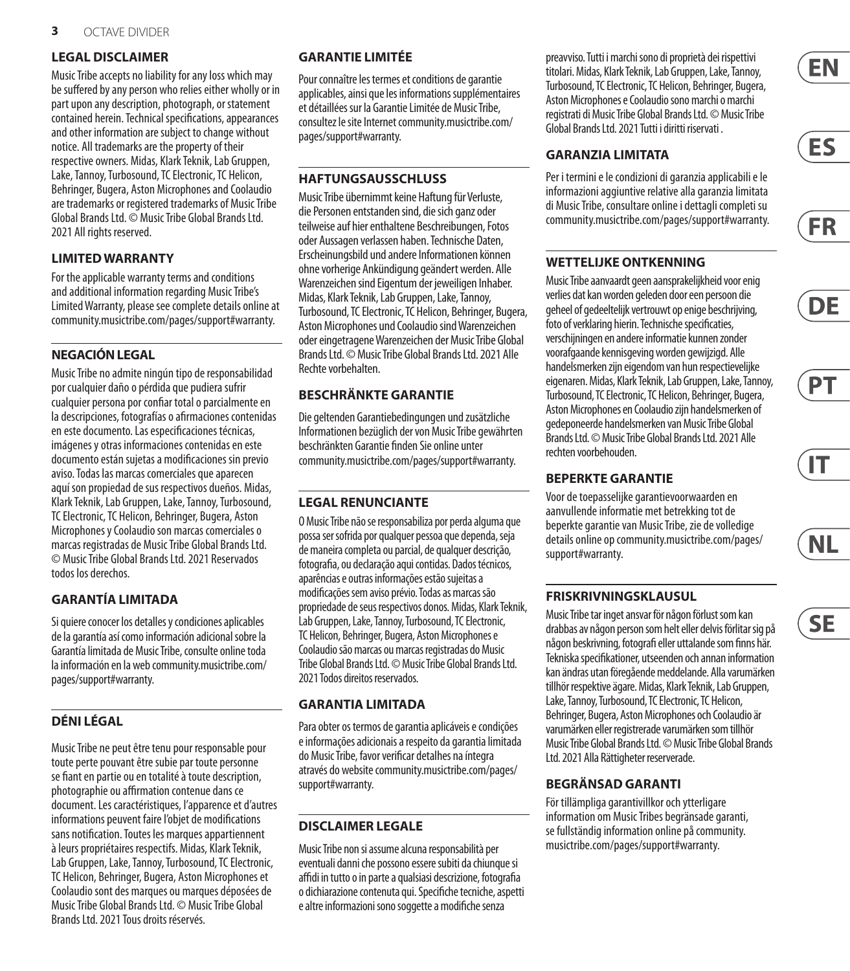#### **LEGAL DISCLAIMER**

Music Tribe accepts no liability for any loss which may be suffered by any person who relies either wholly or in part upon any description, photograph, or statement contained herein. Technical specifications, appearances and other information are subject to change without notice. All trademarks are the property of their respective owners. Midas, Klark Teknik, Lab Gruppen, Lake, Tannoy, Turbosound, TC Electronic, TC Helicon, Behringer, Bugera, Aston Microphonesand Coolaudio are trademarks or registered trademarks of Music Tribe Global Brands Ltd. © Music Tribe Global Brands Ltd. 2021 All rights reserved.

#### **LIMITED WARRANTY**

For the applicable warranty terms and conditions and additional information regarding Music Tribe's Limited Warranty, please see complete details online at community.musictribe.com/pages/support#warranty.

#### **NEGACIÓN LEGAL**

Music Tribe no admite ningún tipo de responsabilidad por cualquier daño o pérdida que pudiera sufrir cualquier persona por confiar total o parcialmente en la descripciones, fotografías o afirmaciones contenidas en este documento. Las especificaciones técnicas, imágenes y otras informaciones contenidas en este documento están sujetas a modificaciones sin previo aviso. Todas las marcas comerciales que aparecen aquí son propiedad de sus respectivos dueños. Midas, Klark Teknik, Lab Gruppen, Lake, Tannoy, Turbosound, TC Electronic, TC Helicon, Behringer, Bugera, Aston Microphones y Coolaudio son marcas comerciales o marcas registradas de Music Tribe Global Brands Ltd. © Music Tribe Global Brands Ltd. 2021 Reservados todos los derechos.

#### **GARANTÍA LIMITADA**

Si quiere conocer los detalles y condiciones aplicables de la garantía así como información adicional sobre la Garantía limitada de Music Tribe, consulte online toda la información en la web community.musictribe.com/ pages/support#warranty.

#### **DÉNI LÉGAL**

Music Tribe ne peut être tenu pour responsable pour toute perte pouvant être subie par toute personne se fiant en partie ou en totalité à toute description, photographie ou affirmation contenue dans ce document. Les caractéristiques, l'apparence et d'autres informations peuvent faire l'objet de modifications sans notification. Toutes les marques appartiennent à leurs propriétaires respectifs. Midas, Klark Teknik, Lab Gruppen, Lake, Tannoy, Turbosound, TC Electronic, TC Helicon, Behringer, Bugera, Aston Microphones et Coolaudio sont des marques ou marques déposées de Music Tribe Global Brands Ltd. © Music Tribe Global Brands Ltd. 2021 Tous droits réservés.

#### **GARANTIE LIMITÉE**

Pour connaître les termes et conditions de garantie applicables, ainsi que les informations supplémentaires et détaillées sur la Garantie Limitée de Music Tribe, consultez le site Internet community.musictribe.com/ pages/support#warranty.

#### **HAFTUNGSAUSSCHLUSS**

Music Tribe übernimmt keine Haftung für Verluste, die Personen entstanden sind, die sich ganz oder teilweise auf hier enthaltene Beschreibungen, Fotos oder Aussagen verlassen haben. Technische Daten, Erscheinungsbild und andere Informationen können ohne vorherige Ankündigung geändert werden. Alle Warenzeichen sind Eigentum der jeweiligen Inhaber. Midas, Klark Teknik, Lab Gruppen, Lake, Tannoy, Turbosound, TC Electronic, TC Helicon, Behringer, Bugera, Aston Microphones und Coolaudio sind Warenzeichen oder eingetragene Warenzeichen der Music Tribe Global Brands Ltd. © Music Tribe Global Brands Ltd. 2021 Alle Rechte vorbehalten.

# **BESCHRÄNKTE GARANTIE**

Die geltenden Garantiebedingungen und zusätzliche Informationen bezüglich der von Music Tribe gewährten beschränkten Garantie finden Sie online unter community.musictribe.com/pages/support#warranty.

#### **LEGAL RENUNCIANTE**

O Music Tribe não se responsabiliza por perda alguma que possa ser sofrida por qualquer pessoa que dependa, seja de maneira completa ou parcial, de qualquer descrição, fotografia, ou declaração aqui contidas. Dados técnicos, aparências e outras informações estão sujeitas a modificações sem aviso prévio. Todas as marcas são propriedade de seus respectivos donos. Midas, Klark Teknik, Lab Gruppen, Lake, Tannoy, Turbosound, TC Electronic, TC Helicon, Behringer, Bugera, Aston Microphones e Coolaudiosão marcas ou marcas registradas do Music Tribe Global Brands Ltd. © Music Tribe Global Brands Ltd. 2021 Todos direitos reservados.

#### **GARANTIA LIMITADA**

Para obter os termos de garantia aplicáveis e condições e informações adicionais a respeito da garantia limitada do Music Tribe, favor verificar detalhes na íntegra através do website community.musictribe.com/pages/ support#warranty.

#### **DISCLAIMER LEGALE**

Music Tribe non si assume alcuna responsabilità per eventuali danni che possono essere subiti da chiunque si affidi in tutto o in parte a qualsiasi descrizione, fotografia o dichiarazione contenuta qui. Specifiche tecniche, aspetti e altre informazioni sono soggette a modifiche senza

preavviso. Tutti i marchi sono di proprietà dei rispettivi titolari. Midas, Klark Teknik, Lab Gruppen, Lake, Tannoy, Turbosound, TC Electronic, TC Helicon, Behringer, Bugera, Aston Microphones e Coolaudio sono marchi o marchi registrati di Music Tribe Global Brands Ltd. © Music Tribe Global Brands Ltd. 2021 Tutti i diritti riservati .

#### **GARANZIA LIMITATA**

Per i termini e le condizioni di garanzia applicabili e le informazioni aggiuntive relative alla garanzia limitata di Music Tribe, consultare online i dettagli completi su community.musictribe.com/pages/support#warranty.

## **WETTELIJKE ONTKENNING**

Music Tribe aanvaardt geen aansprakelijkheid voor enig verlies dat kan worden geleden door een persoon die geheel of gedeeltelijk vertrouwt op enige beschrijving, foto of verklaring hierin. Technische specificaties, verschijningen en andere informatie kunnen zonder voorafgaande kennisgeving worden gewijzigd. Alle handelsmerken zijn eigendom van hun respectievelijke eigenaren. Midas, Klark Teknik, Lab Gruppen, Lake, Tannoy, Turbosound, TC Electronic, TC Helicon, Behringer, Bugera, Aston Microphones en Coolaudio zijn handelsmerken of gedeponeerde handelsmerken van Music Tribe Global Brands Ltd. © Music Tribe Global Brands Ltd. 2021 Alle rechten voorbehouden.

#### **BEPERKTE GARANTIE**

Voor de toepasselijke garantievoorwaarden en aanvullende informatie met betrekking tot de beperkte garantie van Music Tribe, zie de volledige details online op community.musictribe.com/pages/ support#warranty.

#### **FRISKRIVNINGSKLAUSUL**

Music Tribe tar inget ansvar för någon förlust som kan drabbas av någon person som helt eller delvis förlitar sig på någon beskrivning, fotografi eller uttalande som finns här. Tekniska specifikationer, utseenden och annan information kan ändras utan föregående meddelande. Alla varumärken tillhör respektive ägare. Midas, Klark Teknik, Lab Gruppen, Lake, Tannoy, Turbosound, TC Electronic, TC Helicon, Behringer, Bugera, Aston Microphones och Coolaudio är varumärken eller registrerade varumärken som tillhör Music Tribe Global Brands Ltd. © Music Tribe Global Brands Ltd. 2021 Alla Rättigheter reserverade.

#### **BEGRÄNSAD GARANTI**

För tillämpliga garantivillkor och ytterligare information om Music Tribes begränsade garanti, se fullständig information online på community. musictribe.com/pages/support#warranty.

EN













**SE**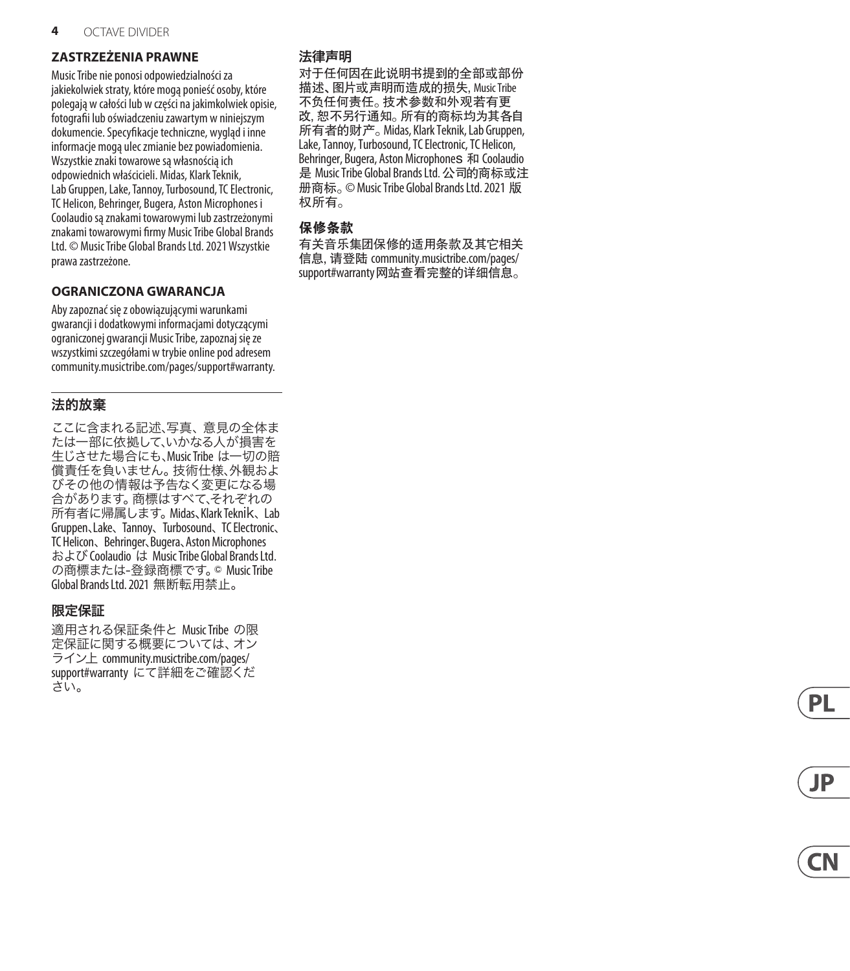#### **ZASTRZEŻENIA PRAWNE**

Music Tribe nie ponosi odpowiedzialności za jakiekolwiek straty, które mogą ponieść osoby, które polegają w całości lub w części na jakimkolwiek opisie, fotografii lub oświadczeniu zawartym w niniejszym dokumencie. Specyfikacje techniczne, wygląd i inne informacje mogą ulec zmianie bez powiadomienia. Wszystkie znaki towarowe są własnością ich odpowiednich właścicieli. Midas, Klark Teknik, Lab Gruppen, Lake, Tannoy, Turbosound, TC Electronic, TC Helicon, Behringer, Bugera, Aston Microphones i Coolaudio są znakami towarowymi lub zastrzeżonymi znakami towarowymi firmy Music Tribe Global Brands Ltd. © Music Tribe Global Brands Ltd. 2021 Wszystkie prawa zastrzeżone.

#### **OGRANICZONA GWARANCJA**

Aby zapoznać się z obowiązującymi warunkami gwarancji i dodatkowymi informacjami dotyczącymi ograniczonej gwarancji Music Tribe, zapoznaj się ze wszystkimi szczegółami w trybie online pod adresem community.musictribe.com/pages/support#warranty.

#### 法的放棄

ここに含まれる記述、写真、意見の全体ま たは一部に依拠して、いかなる人が損害を 生じさせた場合にも、Music Tribe は一切の賠 償責任を負いません。技術仕様、外観およ びその他の情報は予告なく変更になる場 合があります。商標はすべて、それぞれの 所有者に帰属します。Midas、Klark Teknik、 Lab Gruppen、Lake、 Tannoy、 Turbosound、 TC Electronic、 TC Helicon、 Behringer、Bugera、Aston Microphones およびCoolaudio は Music Tribe Global Brands Ltd. の商標または‑登録商標です。© Music Tribe Global Brands Ltd. 2021 無断転用禁止。

#### 限定保証

適用される保証条件と Music Tribe の限 定保証に関する概要については、オン ライン上 community.musictribe.com/pages/ support#warranty にて詳細をご確認くだ さい。

# 法律声明

对于任何因在此说明书提到的全部或部份 描述、 图片或声明而造成的损失, Music Tribe 不负任何责任。 技术参数和外观若有更 改, 恕不另行通知。 所有的商标均为其各自 所有者的财产。 Midas, Klark Teknik, Lab Gruppen, Lake, Tannoy, Turbosound, TC Electronic, TC Helicon, Behringer, Bugera, Aston Microphones 和 Coolaudio 是 Music Tribe Global Brands Ltd. 公司的商标或注 册商标。 © Music Tribe Global Brands Ltd. 2021 版 权所有。

#### **保修条款**

有关音乐集团保修的适用条款及其它相关 信息, 请登陆 community.musictribe.com/pages/ support#warranty网站查看完整的详细信息。



**PL**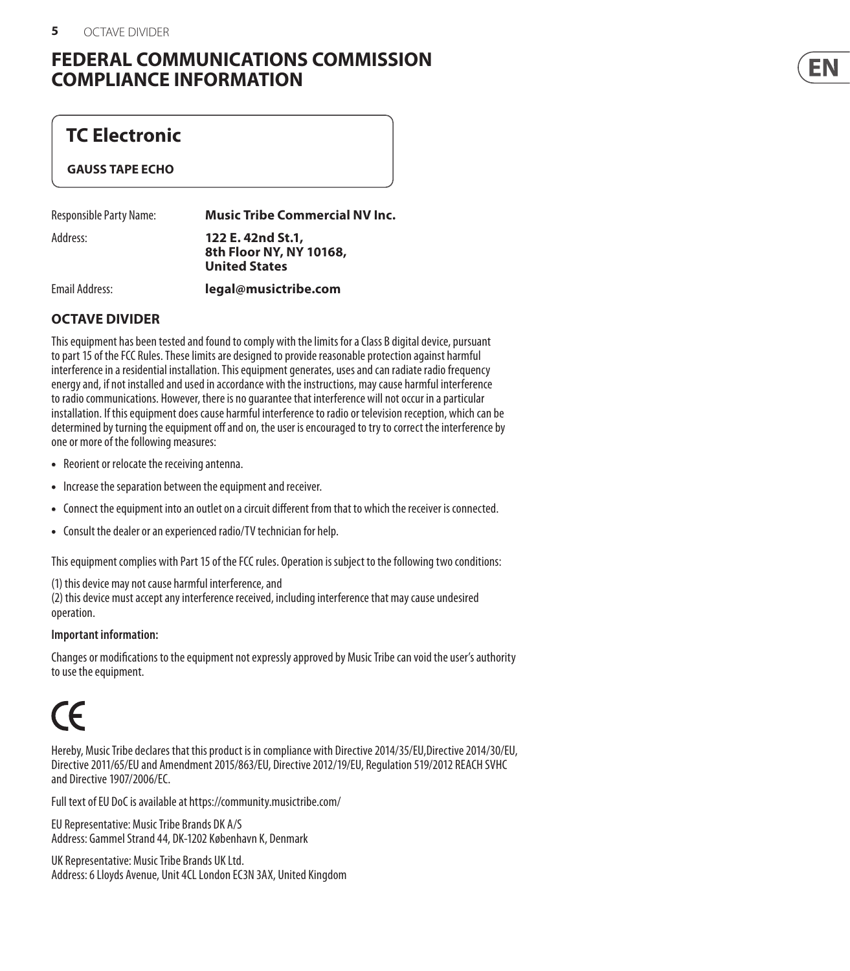# **FEDERAL COMMUNICATIONS COMMISSION COMPLIANCE INFORMATION**

# **TC Electronic**

#### **GAUSS TAPE ECHO**

| Responsible Party Name: | <b>Music Tribe Commercial NV Inc.</b>                                |
|-------------------------|----------------------------------------------------------------------|
| Address:                | 122 E. 42nd St.1,<br>8th Floor NY, NY 10168,<br><b>United States</b> |

Email Address: **legal@musictribe.com**

# **OCTAVE DIVIDER**

This equipment has been tested and found to comply with the limits for a Class B digital device, pursuant to part 15 of the FCC Rules. These limits are designed to provide reasonable protection against harmful interference in a residential installation. This equipment generates, uses and can radiate radio frequency energy and, if not installed and used in accordance with the instructions, may cause harmful interference to radio communications. However, there is no guarantee that interference will not occur in a particular installation. If this equipment does cause harmful interference to radio or television reception, which can be determined by turning the equipment off and on, the user is encouraged to try to correct the interference by one or more of the following measures:

- Reorient or relocate the receiving antenna.
- Increase the separation between the equipment and receiver.
- Connect the equipment into an outlet on a circuit different from that to which the receiver is connected.
- Consult the dealer or an experienced radio/TV technician for help.

This equipment complies with Part 15 of the FCC rules. Operation is subject to the following two conditions:

(1) this device may not cause harmful interference, and

(2) this device must accept any interference received, including interference that may cause undesired operation.

#### **Important information:**

Changes or modifications to the equipment not expressly approved by Music Tribe can void the user's authority to use the equipment.

# $\epsilon$

Hereby, Music Tribe declares that this product is in compliance with Directive 2014/35/EU,Directive 2014/30/EU, Directive 2011/65/EU and Amendment 2015/863/EU, Directive 2012/19/EU, Regulation 519/2012 REACH SVHC and Directive 1907/2006/EC.

Full text of EU DoC is available at https://community.musictribe.com/

EU Representative: Music Tribe Brands DK A/S Address: Gammel Strand 44, DK-1202 København K, Denmark

UK Representative: Music Tribe Brands UK Ltd. Address: 6 Lloyds Avenue, Unit 4CL London EC3N 3AX, United Kingdom